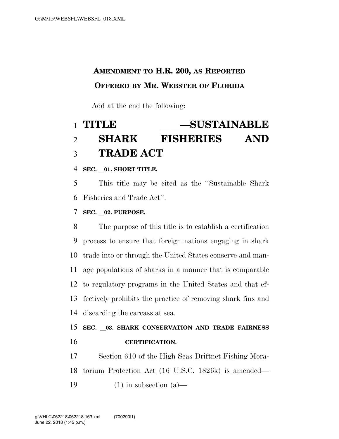## **AMENDMENT TO H.R. 200, AS REPORTED OFFERED BY MR. WEBSTER OF FLORIDA**

Add at the end the following:

# **TITLE** ll**—SUSTAINABLE**   $$ **TRADE ACT**

**SEC.** l**01. SHORT TITLE.** 

 This title may be cited as the ''Sustainable Shark Fisheries and Trade Act''.

**SEC.** l**02. PURPOSE.** 

 The purpose of this title is to establish a certification process to ensure that foreign nations engaging in shark trade into or through the United States conserve and man- age populations of sharks in a manner that is comparable to regulatory programs in the United States and that ef- fectively prohibits the practice of removing shark fins and discarding the carcass at sea.

### **SEC.** l**03. SHARK CONSERVATION AND TRADE FAIRNESS CERTIFICATION.**

 Section 610 of the High Seas Driftnet Fishing Mora- torium Protection Act (16 U.S.C. 1826k) is amended— 19  $(1)$  in subsection  $(a)$ —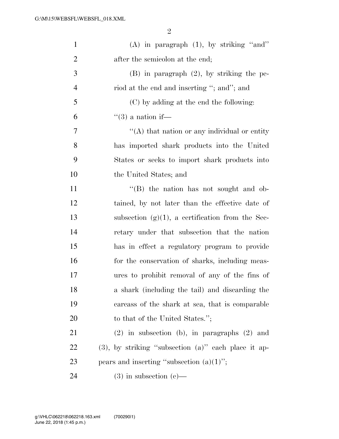| $\mathbf{1}$   | (A) in paragraph $(1)$ , by striking "and"                |
|----------------|-----------------------------------------------------------|
| $\overline{2}$ | after the semicolon at the end;                           |
| 3              | $(B)$ in paragraph $(2)$ , by striking the pe-            |
| $\overline{4}$ | riod at the end and inserting "; and"; and                |
| 5              | (C) by adding at the end the following:                   |
| 6              | $\lq(3)$ a nation if—                                     |
| 7              | "(A) that nation or any individual or entity              |
| 8              | has imported shark products into the United               |
| 9              | States or seeks to import shark products into             |
| 10             | the United States; and                                    |
| 11             | $\cdot$ (B) the nation has not sought and ob-             |
| 12             | tained, by not later than the effective date of           |
| 13             | subsection $(g)(1)$ , a certification from the Sec-       |
| 14             | retary under that subsection that the nation              |
| 15             | has in effect a regulatory program to provide             |
| 16             | for the conservation of sharks, including meas-           |
| 17             | ures to prohibit removal of any of the fins of            |
| 18             | a shark (including the tail) and discarding the           |
| 19             | carcass of the shark at sea, that is comparable           |
| 20             | to that of the United States.";                           |
| 21             | $(2)$ in subsection (b), in paragraphs $(2)$ and          |
| <u>22</u>      | $(3)$ , by striking "subsection $(a)$ " each place it ap- |
| 23             | pears and inserting "subsection $(a)(1)$ ";               |
| 24             | $(3)$ in subsection $(e)$ —                               |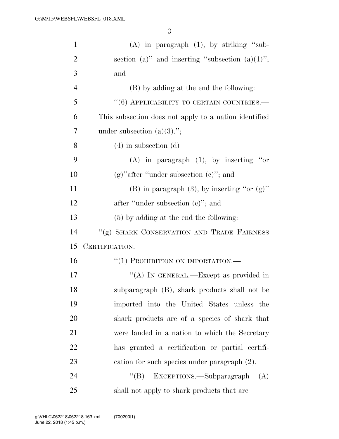| $\mathbf{1}$   | $(A)$ in paragraph $(1)$ , by striking "sub-          |
|----------------|-------------------------------------------------------|
| $\overline{2}$ | section (a)" and inserting "subsection (a) $(1)$ ";   |
| 3              | and                                                   |
| $\overline{4}$ | (B) by adding at the end the following:               |
| 5              | $``(6)$ APPLICABILITY TO CERTAIN COUNTRIES.—          |
| 6              | This subsection does not apply to a nation identified |
| 7              | under subsection $(a)(3)$ .";                         |
| 8              | $(4)$ in subsection $(d)$ —                           |
| 9              | (A) in paragraph $(1)$ , by inserting "or             |
| 10             | $(g)$ "after "under subsection $(e)$ "; and           |
| 11             | (B) in paragraph $(3)$ , by inserting "or $(g)$ "     |
| 12             | after "under subsection (c)"; and                     |
| 13             | $(5)$ by adding at the end the following:             |
| 14             | "(g) SHARK CONSERVATION AND TRADE FAIRNESS            |
| 15             | CERTIFICATION.—                                       |
| 16             | "(1) PROHIBITION ON IMPORTATION.-                     |
| 17             | "(A) IN GENERAL.—Except as provided in                |
| 18             | subparagraph (B), shark products shall not be         |
| 19             | imported into the United States unless the            |
| 20             | shark products are of a species of shark that         |
| 21             | were landed in a nation to which the Secretary        |
| 22             | has granted a certification or partial certifi-       |
| 23             | cation for such species under paragraph (2).          |
| 24             | EXCEPTIONS.—Subparagraph<br>$\lq\lq (B)$<br>(A)       |
| 25             | shall not apply to shark products that are—           |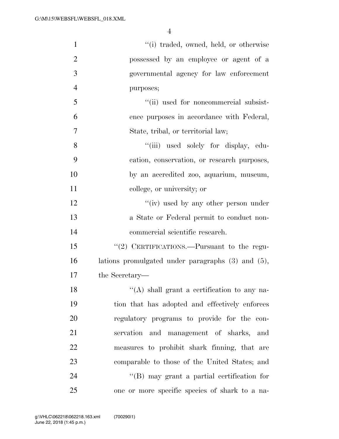| $\mathbf{1}$   | "(i) traded, owned, held, or otherwise                 |
|----------------|--------------------------------------------------------|
| $\overline{2}$ | possessed by an employee or agent of a                 |
| 3              | governmental agency for law enforcement                |
| $\overline{4}$ | purposes;                                              |
| 5              | "(ii) used for noncommercial subsist-                  |
| 6              | ence purposes in accordance with Federal,              |
| $\overline{7}$ | State, tribal, or territorial law;                     |
| 8              | "(iii) used solely for display, edu-                   |
| 9              | cation, conservation, or research purposes,            |
| 10             | by an accredited zoo, aquarium, museum,                |
| 11             | college, or university; or                             |
| 12             | "(iv) used by any other person under                   |
| 13             | a State or Federal permit to conduct non-              |
| 14             | commercial scientific research.                        |
| 15             | "(2) CERTIFICATIONS.—Pursuant to the regu-             |
| 16             | lations promulgated under paragraphs $(3)$ and $(5)$ , |
| 17             | the Secretary—                                         |
| 18             | $\lq\lq$ shall grant a certification to any na-        |
| 19             | tion that has adopted and effectively enforces         |
| 20             | regulatory programs to provide for the con-            |
| 21             | servation and management of sharks, and                |
| 22             | measures to prohibit shark finning, that are           |
| 23             | comparable to those of the United States; and          |
| 24             | $\lq\lq (B)$ may grant a partial certification for     |
| $25\,$         | one or more specific species of shark to a na-         |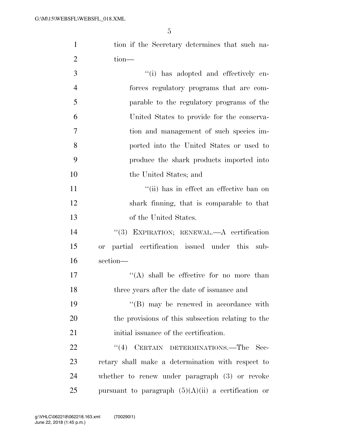| $\mathbf{1}$   | tion if the Secretary determines that such na-            |
|----------------|-----------------------------------------------------------|
| $\overline{2}$ | $tion$ —                                                  |
| 3              | "(i) has adopted and effectively en-                      |
| $\overline{4}$ | forces regulatory programs that are com-                  |
| 5              | parable to the regulatory programs of the                 |
| 6              | United States to provide for the conserva-                |
| 7              | tion and management of such species im-                   |
| 8              | ported into the United States or used to                  |
| 9              | produce the shark products imported into                  |
| 10             | the United States; and                                    |
| 11             | "(ii) has in effect an effective ban on                   |
| 12             | shark finning, that is comparable to that                 |
| 13             | of the United States.                                     |
| 14             | "(3) EXPIRATION; RENEWAL.—A certification                 |
| 15             | partial certification issued under this sub-<br><b>or</b> |
| 16             | section-                                                  |
| 17             | "(A) shall be effective for no more than                  |
| 18             | three years after the date of issuance and                |
| 19             | "(B) may be renewed in accordance with                    |
| 20             | the provisions of this subsection relating to the         |
| 21             | initial issuance of the certification.                    |

22 ''(4) CERTAIN DETERMINATIONS.—The Sec-23 retary shall make a determination with respect to 24 whether to renew under paragraph (3) or revoke 25 pursuant to paragraph  $(5)(A)(ii)$  a certification or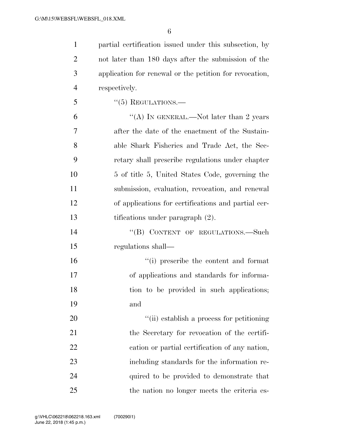partial certification issued under this subsection, by not later than 180 days after the submission of the application for renewal or the petition for revocation, respectively.

"(5) REGULATIONS.—

 $\text{``(A)}$  In GENERAL.—Not later than 2 years after the date of the enactment of the Sustain- able Shark Fisheries and Trade Act, the Sec- retary shall prescribe regulations under chapter 10 5 of title 5, United States Code, governing the submission, evaluation, revocation, and renewal of applications for certifications and partial cer-tifications under paragraph (2).

14 "(B) CONTENT OF REGULATIONS. Such regulations shall—

 ''(i) prescribe the content and format of applications and standards for informa- tion to be provided in such applications; and

 $\frac{1}{2}$  (ii) establish a process for petitioning 21 the Secretary for revocation of the certifi- cation or partial certification of any nation, including standards for the information re-24 quired to be provided to demonstrate that the nation no longer meets the criteria es-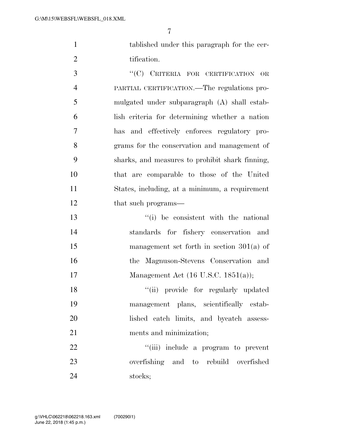tablished under this paragraph for the cer-2 tification.

 ''(C) CRITERIA FOR CERTIFICATION OR PARTIAL CERTIFICATION.—The regulations pro- mulgated under subparagraph (A) shall estab- lish criteria for determining whether a nation has and effectively enforces regulatory pro- grams for the conservation and management of sharks, and measures to prohibit shark finning, that are comparable to those of the United States, including, at a minimum, a requirement 12 that such programs—

 ''(i) be consistent with the national standards for fishery conservation and management set forth in section 301(a) of the Magnuson-Stevens Conservation and Management Act (16 U.S.C. 1851(a));

18 ''(ii) provide for regularly updated management plans, scientifically estab- lished catch limits, and bycatch assess-ments and minimization;

22  $\frac{1}{1}$   $\frac{1}{1}$  include a program to prevent overfishing and to rebuild overfished stocks;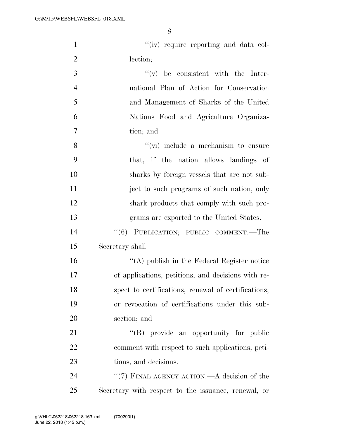1 ''(iv) require reporting and data col-

| $\overline{2}$ | lection;                                            |
|----------------|-----------------------------------------------------|
| 3              | $f'(v)$ be consistent with the Inter-               |
| $\overline{4}$ | national Plan of Action for Conservation            |
| 5              | and Management of Sharks of the United              |
| 6              | Nations Food and Agriculture Organiza-              |
| 7              | tion; and                                           |
| 8              | $\lq\lq$ (vi) include a mechanism to ensure         |
| 9              | that, if the nation allows landings of              |
| 10             | sharks by foreign vessels that are not sub-         |
| 11             | ject to such programs of such nation, only          |
| 12             | shark products that comply with such pro-           |
| 13             | grams are exported to the United States.            |
| 14             | "(6) PUBLICATION; PUBLIC COMMENT.—The               |
| 15             | Secretary shall—                                    |
| 16             | "(A) publish in the Federal Register notice         |
| 17             | of applications, petitions, and decisions with re-  |
| 18             | spect to certifications, renewal of certifications, |
| 19             | or revocation of certifications under this sub-     |
| 20             | section; and                                        |
| 21             | "(B) provide an opportunity for public              |
| 22             | comment with respect to such applications, peti-    |
| 23             | tions, and decisions.                               |
|                |                                                     |

24 ''(7) FINAL AGENCY ACTION.—A decision of the 25 Secretary with respect to the issuance, renewal, or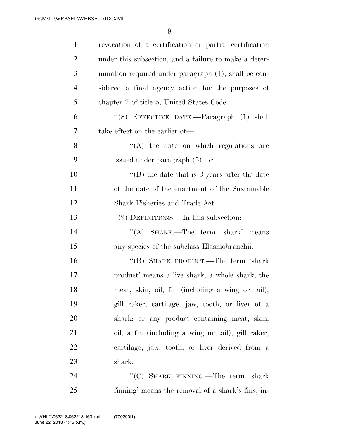| $\mathbf{1}$   | revocation of a certification or partial certification |
|----------------|--------------------------------------------------------|
| $\overline{2}$ | under this subsection, and a failure to make a deter-  |
| 3              | mination required under paragraph (4), shall be con-   |
| $\overline{4}$ | sidered a final agency action for the purposes of      |
| 5              | chapter 7 of title 5, United States Code.              |
| 6              | "(8) EFFECTIVE DATE.-Paragraph (1) shall               |
| 7              | take effect on the earlier of—                         |
| 8              | $\lq\lq$ the date on which regulations are             |
| 9              | issued under paragraph (5); or                         |
| 10             | "(B) the date that is 3 years after the date           |
| 11             | of the date of the enactment of the Sustainable        |
| 12             | Shark Fisheries and Trade Act.                         |
| 13             | " $(9)$ DEFINITIONS.—In this subsection:               |
| 14             | "(A) SHARK.—The term 'shark' means                     |
| 15             | any species of the subclass Elasmobranchii.            |
| 16             | "(B) SHARK PRODUCT.—The term 'shark                    |
| 17             | product' means a live shark; a whole shark; the        |
| 18             | meat, skin, oil, fin (including a wing or tail),       |
| 19             | gill raker, cartilage, jaw, tooth, or liver of a       |
| 20             | shark; or any product containing meat, skin,           |
| 21             | oil, a fin (including a wing or tail), gill raker,     |
| 22             | cartilage, jaw, tooth, or liver derived from a         |
| 23             | shark.                                                 |
| 24             | " $(C)$ SHARK FINNING.—The term 'shark                 |
| 25             | finning' means the removal of a shark's fins, in-      |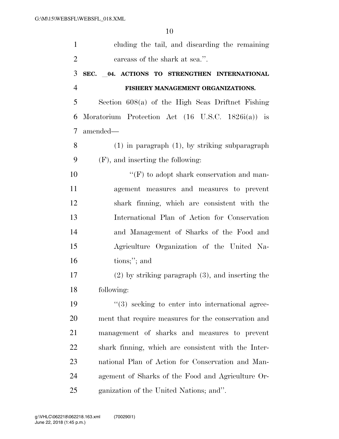| $\mathbf{1}$   | cluding the tail, and discarding the remaining               |
|----------------|--------------------------------------------------------------|
| $\overline{2}$ | carcass of the shark at sea.".                               |
| 3              | SEC. 04. ACTIONS TO STRENGTHEN INTERNATIONAL                 |
| $\overline{4}$ | FISHERY MANAGEMENT ORGANIZATIONS.                            |
| 5              | Section $608(a)$ of the High Seas Driftnet Fishing           |
| 6              | Moratorium Protection Act $(16 \text{ U.S.C. } 1826i(a))$ is |
| $\tau$         | amended—                                                     |
| 8              | $(1)$ in paragraph $(1)$ , by striking subparagraph          |
| 9              | $(F)$ , and inserting the following:                         |
| 10             | $\lq\lq(F)$ to adopt shark conservation and man-             |
| 11             | agement measures and measures to prevent                     |
| 12             | shark finning, which are consistent with the                 |
| 13             | International Plan of Action for Conservation                |
| 14             | and Management of Sharks of the Food and                     |
| 15             | Agriculture Organization of the United Na-                   |
| 16             | tions;"; and                                                 |
| 17             | $(2)$ by striking paragraph $(3)$ , and inserting the        |
| 18             | following:                                                   |
| 19             | $\lq(3)$ seeking to enter into international agree-          |
| 20             | ment that require measures for the conservation and          |
| 21             | management of sharks and measures to prevent                 |
| 22             | shark finning, which are consistent with the Inter-          |
| 23             | national Plan of Action for Conservation and Man-            |
| 24             | agement of Sharks of the Food and Agriculture Or-            |
| 25             | ganization of the United Nations; and".                      |